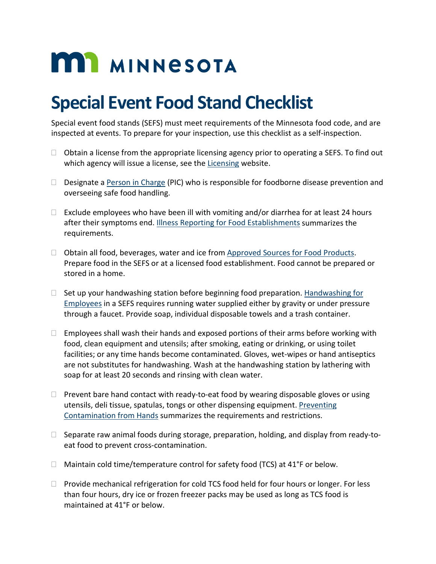# **MIT MINNESOTA**

## **Special Event Food Stand Checklist**

Special event food stands (SEFS) must meet requirements of the Minnesota food code, and are inspected at events. To prepare for your inspection, use this checklist as a self-inspection.

- $\Box$  Obtain a license from the appropriate licensing agency prior to operating a SEFS. To find out which agency will issue a license, see the [Licensing](http://www.health.state.mn.us/communities/environment/food/license/index.html) website.
- $\Box$  Designate [a Person in Charge](http://www.health.state.mn.us/communities/environment/food/docs/fs/picfs.pdf) (PIC) who is responsible for foodborne disease prevention and overseeing safe food handling.
- $\Box$  Exclude employees who have been ill with vomiting and/or diarrhea for at least 24 hours after their symptoms end. [Illness Reporting for Food Establishments](http://www.health.state.mn.us/people/foodsafety/dwi/empillfs.pdf) summarizes the requirements.
- □ Obtain all food, beverages, water and ice from [Approved Sources for Food Products.](http://www.health.state.mn.us/communities/environment/food/docs/fs/apprvdsrcefs.pdf) Prepare food in the SEFS or at a licensed food establishment. Food cannot be prepared or stored in a home.
- $\Box$  Set up your handwashing station before beginning food preparation. Handwashing for [Employees](http://www.health.state.mn.us/communities/environment/food/docs/fs/handwashfs.pdf) in a SEFS requires running water supplied either by gravity or under pressure through a faucet. Provide soap, individual disposable towels and a trash container.
- $\Box$  Employees shall wash their hands and exposed portions of their arms before working with food, clean equipment and utensils; after smoking, eating or drinking, or using toilet facilities; or any time hands become contaminated. Gloves, wet-wipes or hand antiseptics are not substitutes for handwashing. Wash at the handwashing station by lathering with soap for at least 20 seconds and rinsing with clean water.
- $\Box$  Prevent bare hand contact with ready-to-eat food by wearing disposable gloves or using utensils, deli tissue, spatulas, tongs or other dispensing equipment. [Preventing](http://www.health.state.mn.us/communities/environment/food/docs/fs/nohandcontfs.pdf)  [Contamination from Hands](http://www.health.state.mn.us/communities/environment/food/docs/fs/nohandcontfs.pdf) summarizes the requirements and restrictions.
- $\Box$  Separate raw animal foods during storage, preparation, holding, and display from ready-toeat food to prevent cross-contamination.
- $\Box$  Maintain cold time/temperature control for safety food (TCS) at 41°F or below.
- $\Box$  Provide mechanical refrigeration for cold TCS food held for four hours or longer. For less than four hours, dry ice or frozen freezer packs may be used as long as TCS food is maintained at 41°F or below.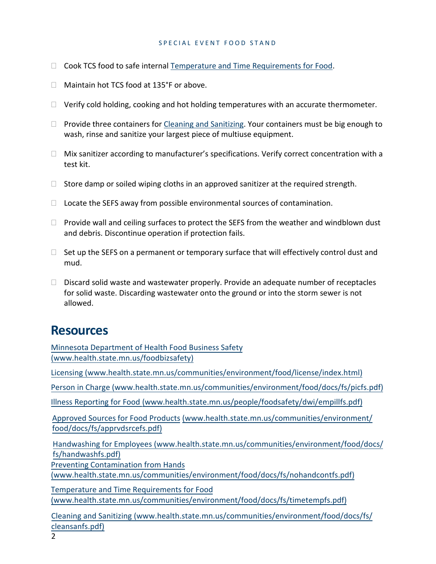## SPECIAL EVENT FOOD STAND

- $\Box$  Cook TCS food to safe internal [Temperature and Time Requirements for Food.](http://www.health.state.mn.us/communities/environment/food/docs/fs/timetempfs.pdf)
- Maintain hot TCS food at 135°F or above.
- $\Box$  Verify cold holding, cooking and hot holding temperatures with an accurate thermometer.
- $\Box$  Provide three containers for [Cleaning and Sanitizing.](http://www.health.state.mn.us/communities/environment/food/docs/fs/cleansanfs.pdf) Your containers must be big enough to wash, rinse and sanitize your largest piece of multiuse equipment.
- $\Box$  Mix sanitizer according to manufacturer's specifications. Verify correct concentration with a test kit.
- $\Box$  Store damp or soiled wiping cloths in an approved sanitizer at the required strength.
- $\Box$  Locate the SEFS away from possible environmental sources of contamination.
- $\Box$  Provide wall and ceiling surfaces to protect the SEFS from the weather and windblown dust and debris. Discontinue operation if protection fails.
- $\Box$  Set up the SEFS on a permanent or temporary surface that will effectively control dust and mud.
- $\Box$  Discard solid waste and wastewater properly. Provide an adequate number of receptacles for solid waste. Discarding wastewater onto the ground or into the storm sewer is not allowed.

## **Resources**

[Minnesota Department of Health Food Business](http://www.health.state.mn.us/foodbizsafety) Safety [\(www.health.state.mn.us/foodbizsafety\)](http://www.health.state.mn.us/foodbizsafety) [Licensing \(www.health.state.mn.us/](http://www.health.state.mn.us/communities/environment/food/license/index.html)communities/environment/food/license/index.html) [Person in Charge \(www.health.state.mn.us/](http://www.health.state.mn.us/communities/environment/food/docs/fs/picfs.pdf)communities/environment/food/docs/fs/picfs.pdf) Illness Reporting for Food [\(www.health.state.mn.us/](http://www.health.state.mn.us/people/foodsafety/dwi/empillfs.pdf)people/foodsafety/dwi/empillfs.pdf) [Approved Sources](http://www.health.state.mn.us/people/foodsafety/dwi/empillfs.pdf) for Food Products (www.health.state.mn.us/communities/environment/ food/docs/[fs/apprvdsrcefs.pdf\)](http://www.health.state.mn.us/communities/environment/food/docs/fs/apprvdsrcefs.pdf) Handwashing [for Employees \(www.health.state.mn.us/](http://www.health.state.mn.us/communities/environment/food/docs/fs/apprvdsrcefs.pdf)communities/environment/food/docs/ [fs/handwashfs.pdf\)](http://www.health.state.mn.us/communities/environment/food/docs/fs/handwashfs.pdf) [Preventing Contamination from Hands](http://www.health.state.mn.us/communities/environment/food/docs/fs/nohandcontfs.pdf) (www.health.state.mn.us/[communities/environment](http://www.health.state.mn.us/communities/environment/food/docs/fs/nohandcontfs.pdf)/food/docs/fs/nohandcontfs.pdf) [Temperature and Time Requirements](http://www.health.state.mn.us/communities/environment/food/docs/fs/timetempfs.pdf) for Food (www.health.state.mn.us/[communities/environment](http://www.health.state.mn.us/communities/environment/food/docs/fs/timetempfs.pdf)/food/docs/fs/timetempfs.pdf) [Cleaning and Sanitizing \(www.health.state.mn.us/](http://www.health.state.mn.us/communities/environment/food/docs/fs/cleansanfs.pdf)communities/environment/food/docs/fs/ cleansanfs.pdf)

2